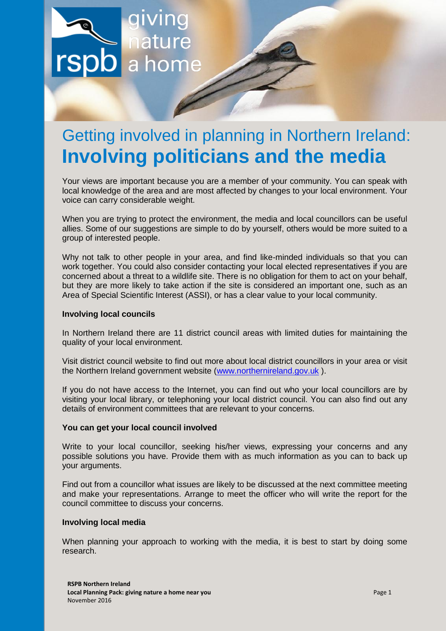

# Getting involved in planning in Northern Ireland: **Involving politicians and the media**

Your views are important because you are a member of your community. You can speak with local knowledge of the area and are most affected by changes to your local environment. Your voice can carry considerable weight.

When you are trying to protect the environment, the media and local councillors can be useful allies. Some of our suggestions are simple to do by yourself, others would be more suited to a group of interested people.

Why not talk to other people in your area, and find like-minded individuals so that you can work together. You could also consider contacting your local elected representatives if you are concerned about a threat to a wildlife site. There is no obligation for them to act on your behalf, but they are more likely to take action if the site is considered an important one, such as an Area of Special Scientific Interest (ASSI), or has a clear value to your local community.

## **Involving local councils**

In Northern Ireland there are 11 district council areas with limited duties for maintaining the quality of your local environment.

Visit district council website to find out more about local district councillors in your area or visit the Northern Ireland government website [\(www.northernireland.gov.uk](http://www.northernireland.gov.uk/) ).

If you do not have access to the Internet, you can find out who your local councillors are by visiting your local library, or telephoning your local district council. You can also find out any details of environment committees that are relevant to your concerns.

#### **You can get your local council involved**

Write to your local councillor, seeking his/her views, expressing your concerns and any possible solutions you have. Provide them with as much information as you can to back up your arguments.

Find out from a councillor what issues are likely to be discussed at the next committee meeting and make your representations. Arrange to meet the officer who will write the report for the council committee to discuss your concerns.

#### **Involving local media**

When planning your approach to working with the media, it is best to start by doing some research.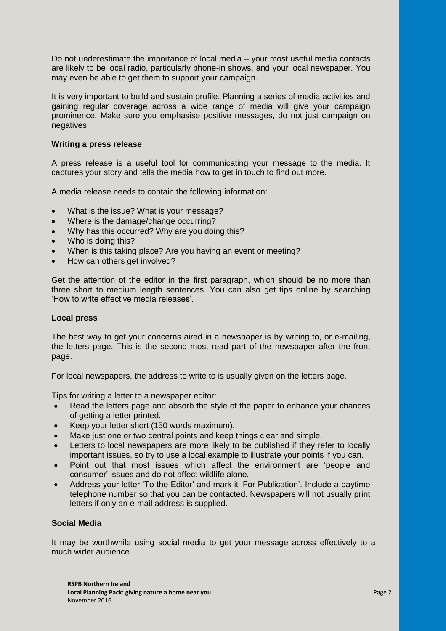Do not underestimate the importance of local media – your most useful media contacts are likely to be local radio, particularly phone-in shows, and your local newspaper. You may even be able to get them to support your campaign.

It is very important to build and sustain profile. Planning a series of media activities and gaining regular coverage across a wide range of media will give your campaign prominence. Make sure you emphasise positive messages, do not just campaign on negatives.

# **Writing a press release**

A press release is a useful tool for communicating your message to the media. It captures your story and tells the media how to get in touch to find out more.

A media release needs to contain the following information:

- What is the issue? What is your message?
- Where is the damage/change occurring?
- Why has this occurred? Why are you doing this?
- Who is doing this?
- When is this taking place? Are you having an event or meeting?
- How can others get involved?

Get the attention of the editor in the first paragraph, which should be no more than three short to medium length sentences. You can also get tips online by searching 'How to write effective media releases'.

#### **Local press**

The best way to get your concerns aired in a newspaper is by writing to, or e-mailing, the letters page. This is the second most read part of the newspaper after the front page.

For local newspapers, the address to write to is usually given on the letters page.

Tips for writing a letter to a newspaper editor:

- Read the letters page and absorb the style of the paper to enhance your chances of getting a letter printed.
- Keep your letter short (150 words maximum).
- Make just one or two central points and keep things clear and simple.
- Letters to local newspapers are more likely to be published if they refer to locally important issues, so try to use a local example to illustrate your points if you can.
- Point out that most issues which affect the environment are 'people and consumer' issues and do not affect wildlife alone.
- Address your letter 'To the Editor' and mark it 'For Publication'. Include a daytime telephone number so that you can be contacted. Newspapers will not usually print letters if only an e-mail address is supplied.

# **Social Media**

It may be worthwhile using social media to get your message across effectively to a much wider audience.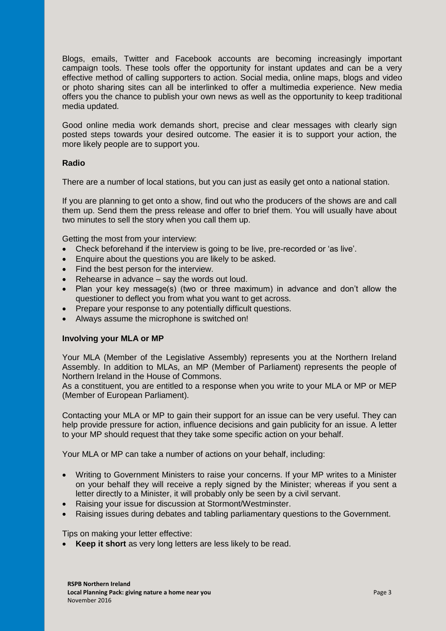Blogs, emails, Twitter and Facebook accounts are becoming increasingly important campaign tools. These tools offer the opportunity for instant updates and can be a very effective method of calling supporters to action. Social media, online maps, blogs and video or photo sharing sites can all be interlinked to offer a multimedia experience. New media offers you the chance to publish your own news as well as the opportunity to keep traditional media updated.

Good online media work demands short, precise and clear messages with clearly sign posted steps towards your desired outcome. The easier it is to support your action, the more likely people are to support you.

# **Radio**

There are a number of local stations, but you can just as easily get onto a national station.

If you are planning to get onto a show, find out who the producers of the shows are and call them up. Send them the press release and offer to brief them. You will usually have about two minutes to sell the story when you call them up.

Getting the most from your interview:

- Check beforehand if the interview is going to be live, pre-recorded or 'as live'.
- Enquire about the questions you are likely to be asked.
- Find the best person for the interview.
- Rehearse in advance say the words out loud.
- Plan your key message(s) (two or three maximum) in advance and don't allow the questioner to deflect you from what you want to get across.
- Prepare your response to any potentially difficult questions.
- Always assume the microphone is switched on!

# **Involving your MLA or MP**

Your MLA (Member of the Legislative Assembly) represents you at the Northern Ireland Assembly. In addition to MLAs, an MP (Member of Parliament) represents the people of Northern Ireland in the House of Commons.

As a constituent, you are entitled to a response when you write to your MLA or MP or MEP (Member of European Parliament).

Contacting your MLA or MP to gain their support for an issue can be very useful. They can help provide pressure for action, influence decisions and gain publicity for an issue. A letter to your MP should request that they take some specific action on your behalf.

Your MLA or MP can take a number of actions on your behalf, including:

- Writing to Government Ministers to raise your concerns. If your MP writes to a Minister on your behalf they will receive a reply signed by the Minister; whereas if you sent a letter directly to a Minister, it will probably only be seen by a civil servant.
- Raising your issue for discussion at Stormont/Westminster.
- Raising issues during debates and tabling parliamentary questions to the Government.

Tips on making your letter effective:

**Keep it short** as very long letters are less likely to be read.